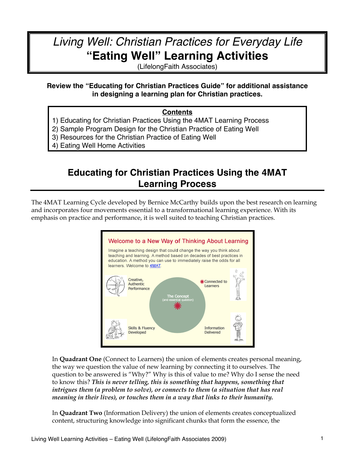# *Living Well: Christian Practices for Everyday Life* **"Eating Well" Learning Activities**

(LifelongFaith Associates)

## **Review the "Educating for Christian Practices Guide" for additional assistance in designing a learning plan for Christian practices.**

#### **Contents**

- 1) Educating for Christian Practices Using the 4MAT Learning Process
- 2) Sample Program Design for the Christian Practice of Eating Well
- 3) Resources for the Christian Practice of Eating Well
- 4) Eating Well Home Activities

# **Educating for Christian Practices Using the 4MAT Learning Process**

The 4MAT Learning Cycle developed by Bernice McCarthy builds upon the best research on learning and incorporates four movements essential to a transformational learning experience. With its emphasis on practice and performance, it is well suited to teaching Christian practices.



In **Quadrant One** (Connect to Learners) the union of elements creates personal meaning, the way we question the value of new learning by connecting it to ourselves. The question to be answered is "Why?" Why is this of value to me? Why do I sense the need to know this? *This is never telling, this is something that happens, something that intrigues them (a problem to solve), or connects to them (a situation that has real meaning in their lives), or touches them in a way that links to their humanity.*

In **Quadrant Two** (Information Delivery) the union of elements creates conceptualized content, structuring knowledge into significant chunks that form the essence, the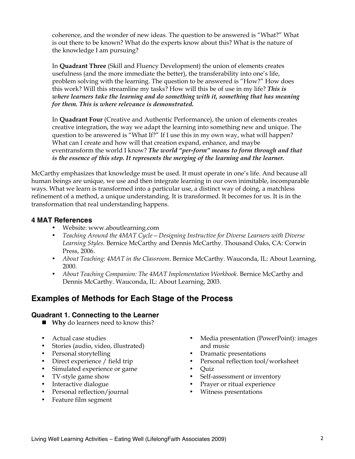coherence, and the wonder of new ideas. The question to be answered is "What?" What is out there to be known? What do the experts know about this? What is the nature of the knowledge I am pursuing?

In **Quadrant Three** (Skill and Fluency Development) the union of elements creates usefulness (and the more immediate the better), the transferability into one's life, problem solving with the learning. The question to be answered is "How?" How does this work? Will this streamline my tasks? How will this be of use in my life? *This is where learners take the learning and do something with it, something that has meaning for them. This is where relevance is demonstrated.* 

In **Quadrant Four** (Creative and Authentic Performance), the union of elements creates creative integration, the way we adapt the learning into something new and unique. The question to be answered is "What If?" If I use this in my own way, what will happen? What can I create and how will that creation expand, enhance, and maybe eventransform the world I know? *The world "per-form" means to form through and that is the essence of this step. It represents the merging of the learning and the learner.*

McCarthy emphasizes that knowledge must be used. It must operate in one's life. And because all human beings are unique, we use and then integrate learning in our own inimitable, incomparable ways. What we learn is transformed into a particular use, a distinct way of doing, a matchless refinement of a method, a unique understanding. It is transformed. It becomes for us. It is in the transformation that real understanding happens.

#### **4 MAT References**

- Website: www.aboutlearning.com
- *Teaching Around the 4MAT Cycle—Designing Instructive for Diverse Learners with Diverse Learning Styles.* Bernice McCarthy and Dennis McCarthy. Thousand Oaks, CA: Corwin Press, 2006.
- *About Teaching: 4MAT in the Classroom*. Bernice McCarthy. Wauconda, IL: About Learning, 2000.
- *About Teaching Companion: The 4MAT Implementation Workbook*. Bernice McCarthy and Dennis McCarthy. Wauconda, IL: About Learning, 2003.

# **Examples of Methods for Each Stage of the Process**

#### **Quadrant 1. Connecting to the Learner**

- **Why** do learners need to know this?
- Actual case studies
- Stories (audio, video, illustrated)
- Personal storytelling
- Direct experience / field trip
- Simulated experience or game
- TV-style game show
- Interactive dialogue
- Personal reflection/journal
- Feature film segment
- Media presentation (PowerPoint): images and music
- Dramatic presentations
- Personal reflection tool/worksheet
- Quiz
- Self-assessment or inventory
- Prayer or ritual experience
- Witness presentations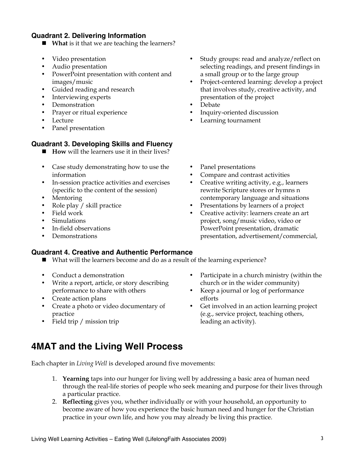### **Quadrant 2. Delivering Information**

- **What** is it that we are teaching the learners?
- Video presentation
- Audio presentation
- PowerPoint presentation with content and images/music
- Guided reading and research
- Interviewing experts
- Demonstration
- Prayer or ritual experience
- Lecture
- Panel presentation

#### **Quadrant 3. Developing Skills and Fluency**

- **How** will the learners use it in their lives?
- Case study demonstrating how to use the information
- In-session practice activities and exercises (specific to the content of the session)
- Mentoring
- Role play / skill practice
- Field work
- **Simulations**
- In-field observations
- Demonstrations

#### **Quadrant 4. Creative and Authentic Performance**

- What will the learners become and do as a result of the learning experience?
- Conduct a demonstration
- Write a report, article, or story describing performance to share with others
- Create action plans
- Create a photo or video documentary of practice
- Field trip / mission trip

#### • Study groups: read and analyze/reflect on selecting readings, and present findings in a small group or to the large group

- Project-centered learning: develop a project that involves study, creative activity, and presentation of the project
- Debate
- Inquiry-oriented discussion
- Learning tournament
- Panel presentations
- Compare and contrast activities
- Creative writing activity, e.g., learners rewrite Scripture stores or hymns n contemporary language and situations
- Presentations by learners of a project
- Creative activity: learners create an art project, song/music video, video or PowerPoint presentation, dramatic presentation, advertisement/commercial,
- Participate in a church ministry (within the church or in the wider community)
- Keep a journal or log of performance efforts
- Get involved in an action learning project (e.g., service project, teaching others, leading an activity).

# **4MAT and the Living Well Process**

Each chapter in *Living Well* is developed around five movements:

- 1. **Yearning** taps into our hunger for living well by addressing a basic area of human need through the real-life stories of people who seek meaning and purpose for their lives through a particular practice.
- 2. **Reflecting** gives you, whether individually or with your household, an opportunity to become aware of how you experience the basic human need and hunger for the Christian practice in your own life, and how you may already be living this practice.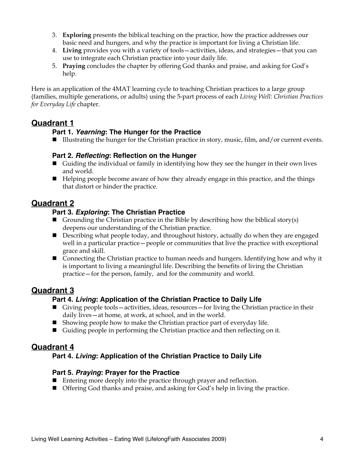- 3. **Exploring** presents the biblical teaching on the practice, how the practice addresses our basic need and hungers, and why the practice is important for living a Christian life.
- 4. **Living** provides you with a variety of tools—activities, ideas, and strategies—that you can use to integrate each Christian practice into your daily life.
- 5. **Praying** concludes the chapter by offering God thanks and praise, and asking for God's help.

Here is an application of the 4MAT learning cycle to teaching Christian practices to a large group (families, multiple generations, or adults) using the 5-part process of each *Living Well: Christian Practices for Everyday Life* chapter.

# **Quadrant 1**

## **Part 1.** *Yearning***: The Hunger for the Practice**

■ Illustrating the hunger for the Christian practice in story, music, film, and/or current events.

## **Part 2.** *Reflecting***: Reflection on the Hunger**

- Guiding the individual or family in identifying how they see the hunger in their own lives and world.
- Helping people become aware of how they already engage in this practice, and the things that distort or hinder the practice.

# **Quadrant 2**

## **Part 3.** *Exploring***: The Christian Practice**

- Grounding the Christian practice in the Bible by describing how the biblical story(s) deepens our understanding of the Christian practice.
- Describing what people today, and throughout history, actually do when they are engaged well in a particular practice—people or communities that live the practice with exceptional grace and skill.
- Connecting the Christian practice to human needs and hungers. Identifying how and why it is important to living a meaningful life. Describing the benefits of living the Christian practice—for the person, family, and for the community and world.

# **Quadrant 3**

## **Part 4.** *Living***: Application of the Christian Practice to Daily Life**

- Giving people tools—activities, ideas, resources—for living the Christian practice in their daily lives—at home, at work, at school, and in the world.
- Showing people how to make the Christian practice part of everyday life.
- Guiding people in performing the Christian practice and then reflecting on it.

# **Quadrant 4**

# **Part 4.** *Living***: Application of the Christian Practice to Daily Life**

## **Part 5.** *Praying***: Prayer for the Practice**

- Entering more deeply into the practice through prayer and reflection.
- Offering God thanks and praise, and asking for God's help in living the practice.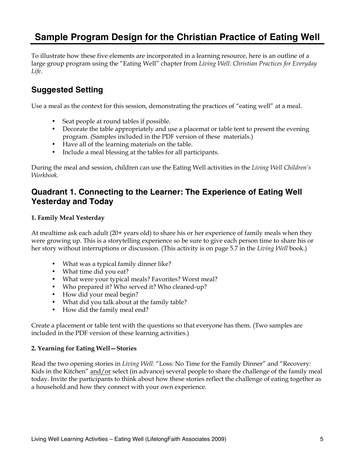# **Sample Program Design for the Christian Practice of Eating Well**

To illustrate how these five elements are incorporated in a learning resource, here is an outline of a large group program using the "Eating Well" chapter from *Living Well: Christian Practices for Everyday Life*.

# **Suggested Setting**

Use a meal as the context for this session, demonstrating the practices of "eating well" at a meal.

- Seat people at round tables if possible.
- Decorate the table appropriately and use a placemat or table tent to present the evening program. (Samples included in the PDF version of these materials.)
- Have all of the learning materials on the table.
- Include a meal blessing at the tables for all participants.

During the meal and session, children can use the Eating Well activities in the *Living Well Children's Workbook.* 

# **Quadrant 1. Connecting to the Learner: The Experience of Eating Well Yesterday and Today**

#### **1. Family Meal Yesterday**

At mealtime ask each adult (20+ years old) to share his or her experience of family meals when they were growing up. This is a storytelling experience so be sure to give each person time to share his or her story without interruptions or discussion. (This activity is on page 5.7 in the *Living Well* book.)

- What was a typical family dinner like?
- What time did you eat?
- What were your typical meals? Favorites? Worst meal?
- Who prepared it? Who served it? Who cleaned-up?
- How did your meal begin?
- What did you talk about at the family table?
- How did the family meal end?

Create a placement or table tent with the questions so that everyone has them. (Two samples are included in the PDF version of these learning activities.)

#### **2. Yearning for Eating Well—Stories**

Read the two opening stories in *Living Well*: "Loss: No Time for the Family Dinner" and "Recovery: Kids in the Kitchen" and/or select (in advance) several people to share the challenge of the family meal today. Invite the participants to think about how these stories reflect the challenge of eating together as a household and how they connect with your own experience.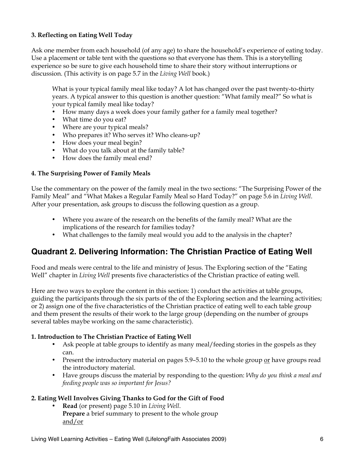### **3. Reflecting on Eating Well Today**

Ask one member from each household (of any age) to share the household's experience of eating today. Use a placement or table tent with the questions so that everyone has them. This is a storytelling experience so be sure to give each household time to share their story without interruptions or discussion. (This activity is on page 5.7 in the *Living Well* book.)

What is your typical family meal like today? A lot has changed over the past twenty-to-thirty years. A typical answer to this question is another question: "What family meal?" So what is your typical family meal like today?

- How many days a week does your family gather for a family meal together?
- What time do you eat?
- Where are your typical meals?
- Who prepares it? Who serves it? Who cleans-up?
- How does your meal begin?
- What do you talk about at the family table?
- How does the family meal end?

#### **4. The Surprising Power of Family Meals**

Use the commentary on the power of the family meal in the two sections: "The Surprising Power of the Family Meal" and "What Makes a Regular Family Meal so Hard Today?" on page 5.6 in *Living Well*. After your presentation, ask groups to discuss the following question as a group.

- Where you aware of the research on the benefits of the family meal? What are the implications of the research for families today?
- What challenges to the family meal would you add to the analysis in the chapter?

# **Quadrant 2. Delivering Information: The Christian Practice of Eating Well**

Food and meals were central to the life and ministry of Jesus. The Exploring section of the "Eating Well" chapter in *Living Well* presents five characteristics of the Christian practice of eating well.

Here are two ways to explore the content in this section: 1) conduct the activities at table groups, guiding the participants through the six parts of the of the Exploring section and the learning activities; or 2) assign one of the five characteristics of the Christian practice of eating well to each table group and them present the results of their work to the large group (depending on the number of groups several tables maybe working on the same characteristic).

#### **1. Introduction to The Christian Practice of Eating Well**

- Ask people at table groups to identify as many meal/feeding stories in the gospels as they can.
- Present the introductory material on pages 5.9–5.10 to the whole group or have groups read the introductory material.
- Have groups discuss the material by responding to the question: *Why do you think a meal and feeding people was so important for Jesus?*

#### **2. Eating Well Involves Giving Thanks to God for the Gift of Food**

• **Read** (or present) page 5.10 in *Living Well*. **Prepare** a brief summary to present to the whole group and/or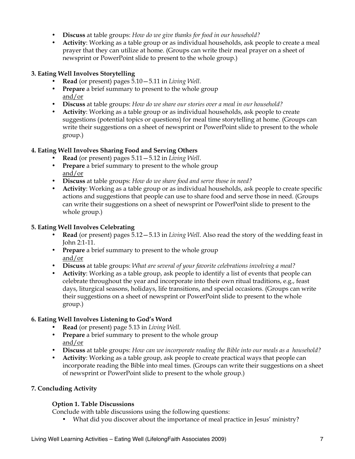- **Discuss** at table groups: *How do we give thanks for food in our household?*
- **Activity**: Working as a table group or as individual households, ask people to create a meal prayer that they can utilize at home. (Groups can write their meal prayer on a sheet of newsprint or PowerPoint slide to present to the whole group.)

### **3. Eating Well Involves Storytelling**

- **Read** (or present) pages 5.10—5.11 in *Living Well*.
- **Prepare** a brief summary to present to the whole group and/or
- **Discuss** at table groups: *How do we share our stories over a meal in our household?*
- **Activity**: Working as a table group or as individual households, ask people to create suggestions (potential topics or questions) for meal time storytelling at home. (Groups can write their suggestions on a sheet of newsprint or PowerPoint slide to present to the whole group.)

### **4. Eating Well Involves Sharing Food and Serving Others**

- **Read** (or present) pages 5.11—5.12 in *Living Well*.
- **Prepare** a brief summary to present to the whole group and/or
- **Discuss** at table groups: *How do we share food and serve those in need?*
- **Activity**: Working as a table group or as individual households, ask people to create specific actions and suggestions that people can use to share food and serve those in need. (Groups can write their suggestions on a sheet of newsprint or PowerPoint slide to present to the whole group.)

### **5. Eating Well Involves Celebrating**

- **Read** (or present) pages 5.12—5.13 in *Living Well*. Also read the story of the wedding feast in John 2:1-11.
- **Prepare** a brief summary to present to the whole group and/or
- **Discuss** at table groups: *What are several of your favorite celebrations involving a meal?*
- **Activity**: Working as a table group, ask people to identify a list of events that people can celebrate throughout the year and incorporate into their own ritual traditions, e.g., feast days, liturgical seasons, holidays, life transitions, and special occasions. (Groups can write their suggestions on a sheet of newsprint or PowerPoint slide to present to the whole group.)

## **6. Eating Well Involves Listening to God's Word**

- **Read** (or present) page 5.13 in *Living Well.*
- **Prepare** a brief summary to present to the whole group and/or
- **Discuss** at table groups: *How can we incorporate reading the Bible into our meals as a household?*
- **Activity**: Working as a table group, ask people to create practical ways that people can incorporate reading the Bible into meal times. (Groups can write their suggestions on a sheet of newsprint or PowerPoint slide to present to the whole group.)

#### **7. Concluding Activity**

## **Option 1. Table Discussions**

Conclude with table discussions using the following questions:

• What did you discover about the importance of meal practice in Jesus' ministry?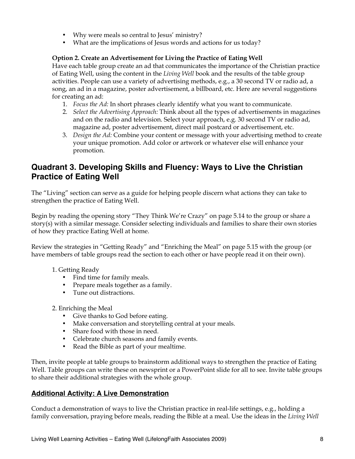- Why were meals so central to Jesus' ministry?
- What are the implications of Jesus words and actions for us today?

### **Option 2. Create an Advertisement for Living the Practice of Eating Well**

Have each table group create an ad that communicates the importance of the Christian practice of Eating Well, using the content in the *Living Well* book and the results of the table group activities. People can use a variety of advertising methods, e.g., a 30 second TV or radio ad, a song, an ad in a magazine, poster advertisement, a billboard, etc. Here are several suggestions for creating an ad:

- 1. *Focus the Ad:* In short phrases clearly identify what you want to communicate.
- 2. *Select the Advertising Approach:* Think about all the types of advertisements in magazines and on the radio and television. Select your approach, e.g. 30 second TV or radio ad, magazine ad, poster advertisement, direct mail postcard or advertisement, etc.
- 3. *Design the Ad:* Combine your content or message with your advertising method to create your unique promotion. Add color or artwork or whatever else will enhance your promotion.

# **Quadrant 3. Developing Skills and Fluency: Ways to Live the Christian Practice of Eating Well**

The "Living" section can serve as a guide for helping people discern what actions they can take to strengthen the practice of Eating Well.

Begin by reading the opening story "They Think We're Crazy" on page 5.14 to the group or share a story(s) with a similar message. Consider selecting individuals and families to share their own stories of how they practice Eating Well at home.

Review the strategies in "Getting Ready" and "Enriching the Meal" on page 5.15 with the group (or have members of table groups read the section to each other or have people read it on their own).

#### 1. Getting Ready

- Find time for family meals.
- Prepare meals together as a family.
- Tune out distractions.

#### 2. Enriching the Meal

- Give thanks to God before eating.
- Make conversation and storytelling central at your meals.
- Share food with those in need.
- Celebrate church seasons and family events.
- Read the Bible as part of your mealtime.

Then, invite people at table groups to brainstorm additional ways to strengthen the practice of Eating Well. Table groups can write these on newsprint or a PowerPoint slide for all to see. Invite table groups to share their additional strategies with the whole group.

## **Additional Activity: A Live Demonstration**

Conduct a demonstration of ways to live the Christian practice in real-life settings, e.g., holding a family conversation, praying before meals, reading the Bible at a meal. Use the ideas in the *Living Well*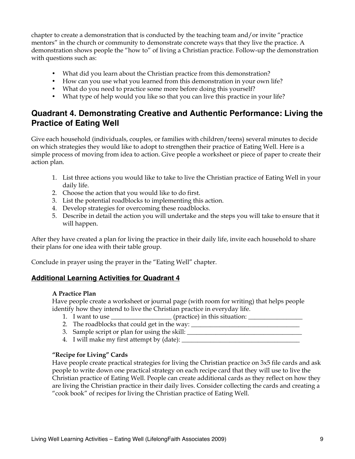chapter to create a demonstration that is conducted by the teaching team and/or invite "practice mentors" in the church or community to demonstrate concrete ways that they live the practice. A demonstration shows people the "how to" of living a Christian practice. Follow-up the demonstration with questions such as:

- What did you learn about the Christian practice from this demonstration?
- How can you use what you learned from this demonstration in your own life?
- What do you need to practice some more before doing this yourself?
- What type of help would you like so that you can live this practice in your life?

# **Quadrant 4. Demonstrating Creative and Authentic Performance: Living the Practice of Eating Well**

Give each household (individuals, couples, or families with children/teens) several minutes to decide on which strategies they would like to adopt to strengthen their practice of Eating Well. Here is a simple process of moving from idea to action. Give people a worksheet or piece of paper to create their action plan.

- 1. List three actions you would like to take to live the Christian practice of Eating Well in your daily life.
- 2. Choose the action that you would like to do first.
- 3. List the potential roadblocks to implementing this action.
- 4. Develop strategies for overcoming these roadblocks.
- 5. Describe in detail the action you will undertake and the steps you will take to ensure that it will happen.

After they have created a plan for living the practice in their daily life, invite each household to share their plans for one idea with their table group.

Conclude in prayer using the prayer in the "Eating Well" chapter.

#### **Additional Learning Activities for Quadrant 4**

#### **A Practice Plan**

Have people create a worksheet or journal page (with room for writing) that helps people identify how they intend to live the Christian practice in everyday life.

- 1. I want to use \_\_\_\_\_\_\_\_\_\_\_\_\_\_\_\_\_\_\_(practice) in this situation:
- 2. The roadblocks that could get in the way: \_\_\_\_\_\_\_\_\_\_\_\_\_\_\_\_\_\_\_\_\_\_\_\_\_\_\_\_\_\_\_\_\_\_\_
- 3. Sample script or plan for using the skill:
- 4. I will make my first attempt by (date):

#### **"Recipe for Living" Cards**

Have people create practical strategies for living the Christian practice on 3x5 file cards and ask people to write down one practical strategy on each recipe card that they will use to live the Christian practice of Eating Well. People can create additional cards as they reflect on how they are living the Christian practice in their daily lives. Consider collecting the cards and creating a "cook book" of recipes for living the Christian practice of Eating Well.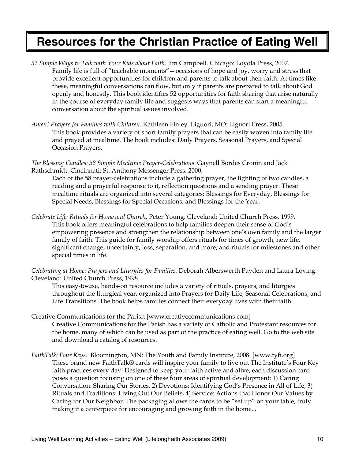# **Resources for the Christian Practice of Eating Well**

- *52 Simple Ways to Talk with Your Kids about Faith*. Jim Campbell. Chicago: Loyola Press, 2007. Family life is full of "teachable moments"—occasions of hope and joy, worry and stress that provide excellent opportunities for children and parents to talk about their faith. At times like these, meaningful conversations can flow, but only if parents are prepared to talk about God openly and honestly. This book identifies 52 opportunities for faith sharing that arise naturally in the course of everyday family life and suggests ways that parents can start a meaningful conversation about the spiritual issues involved.
- *Amen! Prayers for Families with Children.* Kathleen Finley. Liguori, MO: Liguori Press, 2005. This book provides a variety of short family prayers that can be easily woven into family life and prayed at mealtime. The book includes: Daily Prayers, Seasonal Prayers, and Special Occasion Prayers.
- *The Blessing Candles: 58 Simple Mealtime Prayer-Celebrations*. Gaynell Bordes Cronin and Jack Rathschmidt. Cincinnati: St. Anthony Messenger Press, 2000.

Each of the 58 prayer-celebrations include a gathering prayer, the lighting of two candles, a reading and a prayerful response to it, reflection questions and a sending prayer. These mealtime rituals are organized into several categories: Blessings for Everyday, Blessings for Special Needs, Blessings for Special Occasions, and Blessings for the Year.

*Celebrate Life: Rituals for Home and Church.* Peter Young. Cleveland: United Church Press, 1999. This book offers meaningful celebrations to help families deepen their sense of God's empowering presence and strengthen the relationship between one's own family and the larger family of faith. This guide for family worship offers rituals for times of growth, new life, significant change, uncertainty, loss, separation, and more; and rituals for milestones and other special times in life.

*Celebrating at Home: Prayers and Liturgies for Families.* Deborah Alberswerth Payden and Laura Loving. Cleveland: United Church Press, 1998.

This easy-to-use, hands-on resource includes a variety of rituals, prayers, and liturgies throughout the liturgical year, organized into Prayers for Daily Life, Seasonal Celebrations, and Life Transitions. The book helps families connect their everyday lives with their faith.

- Creative Communications for the Parish [www.creativecommunications.com] Creative Communications for the Parish has a variety of Catholic and Protestant resources for the home, many of which can be used as part of the practice of eating well. Go to the web site and download a catalog of resources.
- *FaithTalk: Four Keys.* Bloomington, MN: The Youth and Family Institute, 2008. [www.tyfi.org] These brand new FaithTalk® cards will inspire your family to live out The Institute's Four Key faith practices every day! Designed to keep your faith active and alive, each discussion card poses a question focusing on one of these four areas of spiritual development: 1) Caring Conversation: Sharing Our Stories, 2) Devotions: Identifying God's Presence in All of Life, 3) Rituals and Traditions: Living Out Our Beliefs, 4) Service: Actions that Honor Our Values by Caring for Our Neighbor. The packaging allows the cards to be "set up" on your table, truly making it a centerpiece for encouraging and growing faith in the home. .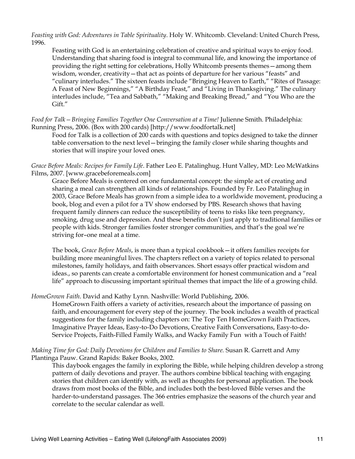*Feasting with God: Adventures in Table Spirituality*. Holy W. Whitcomb. Cleveland: United Church Press, 1996.

Feasting with God is an entertaining celebration of creative and spiritual ways to enjoy food. Understanding that sharing food is integral to communal life, and knowing the importance of providing the right setting for celebrations, Holly Whitcomb presents themes—among them wisdom, wonder, creativity—that act as points of departure for her various "feasts" and "culinary interludes." The sixteen feasts include "Bringing Heaven to Earth," "Rites of Passage: A Feast of New Beginnings," "A Birthday Feast," and "Living in Thanksgiving." The culinary interludes include, "Tea and Sabbath," "Making and Breaking Bread," and "You Who are the Gift."

*Food for Talk—Bringing Families Together One Conversation at a Time!* Julienne Smith. Philadelphia: Running Press, 2006. (Box with 200 cards) [http://www.foodfortalk.net]

Food for Talk is a collection of 200 cards with questions and topics designed to take the dinner table conversation to the next level—bringing the family closer while sharing thoughts and stories that will inspire your loved ones.

*Grace Before Meals: Recipes for Family Life*. Father Leo E. Patalinghug. Hunt Valley, MD: Leo McWatkins Films, 2007. [www.gracebeforemeals.com]

Grace Before Meals is centered on one fundamental concept: the simple act of creating and sharing a meal can strengthen all kinds of relationships. Founded by Fr. Leo Patalinghug in 2003, Grace Before Meals has grown from a simple idea to a worldwide movement, producing a book, blog and even a pilot for a TV show endorsed by PBS. Research shows that having frequent family dinners can reduce the susceptibility of teens to risks like teen pregnancy, smoking, drug use and depression. And these benefits don't just apply to traditional families or people with kids. Stronger families foster stronger communities, and that's the goal we're striving for–one meal at a time.

The book, *Grace Before Meals*, is more than a typical cookbook—it offers families receipts for building more meaningful lives. The chapters reflect on a variety of topics related to personal milestones, family holidays, and faith observances. Short essays offer practical wisdom and ideas., so parents can create a comfortable environment for honest communication and a "real life" approach to discussing important spiritual themes that impact the life of a growing child.

*HomeGrown Faith*. David and Kathy Lynn. Nashville: World Publishing, 2006.

HomeGrown Faith offers a variety of activities, research about the importance of passing on faith, and encouragement for every step of the journey. The book includes a wealth of practical suggestions for the family including chapters on: The Top Ten HomeGrown Faith Practices, Imaginative Prayer Ideas, Easy-to-Do Devotions, Creative Faith Conversations, Easy-to-do-Service Projects, Faith-Filled Family Walks, and Wacky Family Fun with a Touch of Faith!

*Making Time for God: Daily Devotions for Children and Families to Share.* Susan R. Garrett and Amy Plantinga Pauw. Grand Rapids: Baker Books, 2002.

This daybook engages the family in exploring the Bible, while helping children develop a strong pattern of daily devotions and prayer. The authors combine biblical teaching with engaging stories that children can identify with, as well as thoughts for personal application. The book draws from most books of the Bible, and includes both the best-loved Bible verses and the harder-to-understand passages. The 366 entries emphasize the seasons of the church year and correlate to the secular calendar as well.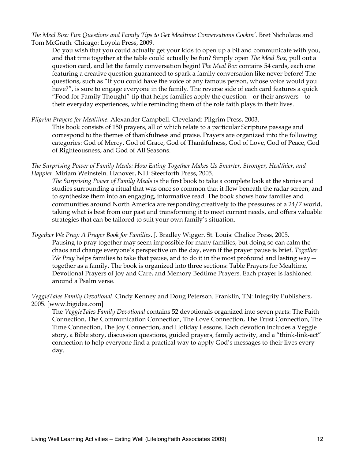*The Meal Box: Fun Questions and Family Tips to Get Mealtime Conversations Cookin'.* Bret Nicholaus and Tom McGrath. Chicago: Loyola Press, 2009.

Do you wish that you could actually get your kids to open up a bit and communicate with you, and that time together at the table could actually be fun? Simply open *The Meal Box*, pull out a question card, and let the family conversation begin! *The Meal Box* contains 54 cards, each one featuring a creative question guaranteed to spark a family conversation like never before! The questions, such as "If you could have the voice of any famous person, whose voice would you have?", is sure to engage everyone in the family. The reverse side of each card features a quick "Food for Family Thought" tip that helps families apply the question—or their answers—to their everyday experiences, while reminding them of the role faith plays in their lives.

*Pilgrim Prayers for Mealtime.* Alexander Campbell. Cleveland: Pilgrim Press, 2003.

This book consists of 150 prayers, all of which relate to a particular Scripture passage and correspond to the themes of thankfulness and praise. Prayers are organized into the following categories: God of Mercy, God of Grace, God of Thankfulness, God of Love, God of Peace, God of Righteousness, and God of All Seasons.

*The Surprising Power of Family Meals: How Eating Together Makes Us Smarter, Stronger, Healthier, and Happier.* Miriam Weinstein. Hanover, NH: Steerforth Press, 2005.

*The Surprising Power of Family Meals* is the first book to take a complete look at the stories and studies surrounding a ritual that was once so common that it flew beneath the radar screen, and to synthesize them into an engaging, informative read. The book shows how families and communities around North America are responding creatively to the pressures of a 24/7 world, taking what is best from our past and transforming it to meet current needs, and offers valuable strategies that can be tailored to suit your own family's situation.

*Together We Pray: A Prayer Book for Families*. J. Bradley Wigger. St. Louis: Chalice Press, 2005. Pausing to pray together may seem impossible for many families, but doing so can calm the chaos and change everyone's perspective on the day, even if the prayer pause is brief. *Together We Pray* helps families to take that pause, and to do it in the most profound and lasting way together as a family. The book is organized into three sections: Table Prayers for Mealtime, Devotional Prayers of Joy and Care, and Memory Bedtime Prayers. Each prayer is fashioned around a Psalm verse.

*VeggieTales Family Devotional*. Cindy Kenney and Doug Peterson. Franklin, TN: Integrity Publishers, 2005. [www.bigidea.com]

The *VeggieTales Family Devotional* contains 52 devotionals organized into seven parts: The Faith Connection, The Communication Connection, The Love Connection, The Trust Connection, The Time Connection, The Joy Connection, and Holiday Lessons. Each devotion includes a Veggie story, a Bible story, discussion questions, guided prayers, family activity, and a "think-link-act" connection to help everyone find a practical way to apply God's messages to their lives every day.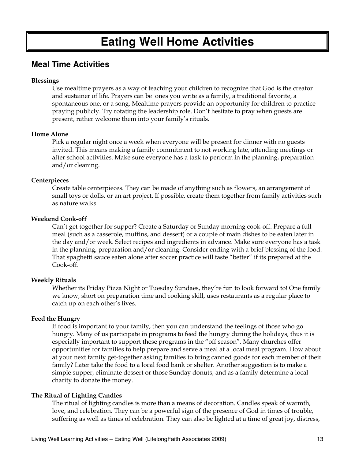# **Eating Well Home Activities**

# **Meal Time Activities**

#### **Blessings**

Use mealtime prayers as a way of teaching your children to recognize that God is the creator and sustainer of life. Prayers can be ones you write as a family, a traditional favorite, a spontaneous one, or a song. Mealtime prayers provide an opportunity for children to practice praying publicly. Try rotating the leadership role. Don't hesitate to pray when guests are present, rather welcome them into your family's rituals.

#### **Home Alone**

Pick a regular night once a week when everyone will be present for dinner with no guests invited. This means making a family commitment to not working late, attending meetings or after school activities. Make sure everyone has a task to perform in the planning, preparation and/or cleaning.

#### **Centerpieces**

Create table centerpieces. They can be made of anything such as flowers, an arrangement of small toys or dolls, or an art project. If possible, create them together from family activities such as nature walks.

#### **Weekend Cook-off**

Can't get together for supper? Create a Saturday or Sunday morning cook-off. Prepare a full meal (such as a casserole, muffins, and dessert) or a couple of main dishes to be eaten later in the day and/or week. Select recipes and ingredients in advance. Make sure everyone has a task in the planning, preparation and/or cleaning. Consider ending with a brief blessing of the food. That spaghetti sauce eaten alone after soccer practice will taste "better" if its prepared at the Cook-off.

#### **Weekly Rituals**

Whether its Friday Pizza Night or Tuesday Sundaes, they're fun to look forward to! One family we know, short on preparation time and cooking skill, uses restaurants as a regular place to catch up on each other's lives.

#### **Feed the Hungry**

If food is important to your family, then you can understand the feelings of those who go hungry. Many of us participate in programs to feed the hungry during the holidays, thus it is especially important to support these programs in the "off season". Many churches offer opportunities for families to help prepare and serve a meal at a local meal program. How about at your next family get-together asking families to bring canned goods for each member of their family? Later take the food to a local food bank or shelter. Another suggestion is to make a simple supper, eliminate dessert or those Sunday donuts, and as a family determine a local charity to donate the money.

#### **The Ritual of Lighting Candles**

The ritual of lighting candles is more than a means of decoration. Candles speak of warmth, love, and celebration. They can be a powerful sign of the presence of God in times of trouble, suffering as well as times of celebration. They can also be lighted at a time of great joy, distress,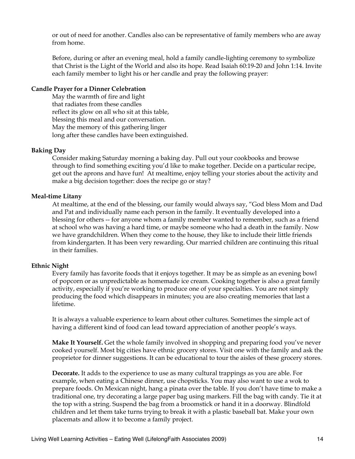or out of need for another. Candles also can be representative of family members who are away from home.

Before, during or after an evening meal, hold a family candle-lighting ceremony to symbolize that Christ is the Light of the World and also its hope. Read Isaiah 60:19-20 and John 1:14. Invite each family member to light his or her candle and pray the following prayer:

#### **Candle Prayer for a Dinner Celebration**

May the warmth of fire and light that radiates from these candles reflect its glow on all who sit at this table, blessing this meal and our conversation. May the memory of this gathering linger long after these candles have been extinguished.

#### **Baking Day**

Consider making Saturday morning a baking day. Pull out your cookbooks and browse through to find something exciting you'd like to make together. Decide on a particular recipe, get out the aprons and have fun! At mealtime, enjoy telling your stories about the activity and make a big decision together: does the recipe go or stay?

#### **Meal-time Litany**

At mealtime, at the end of the blessing, our family would always say, "God bless Mom and Dad and Pat and individually name each person in the family. It eventually developed into a blessing for others -- for anyone whom a family member wanted to remember, such as a friend at school who was having a hard time, or maybe someone who had a death in the family. Now we have grandchildren. When they come to the house, they like to include their little friends from kindergarten. It has been very rewarding. Our married children are continuing this ritual in their families.

#### **Ethnic Night**

Every family has favorite foods that it enjoys together. It may be as simple as an evening bowl of popcorn or as unpredictable as homemade ice cream. Cooking together is also a great family activity, especially if you're working to produce one of your specialties. You are not simply producing the food which disappears in minutes; you are also creating memories that last a lifetime.

It is always a valuable experience to learn about other cultures. Sometimes the simple act of having a different kind of food can lead toward appreciation of another people's ways.

**Make It Yourself.** Get the whole family involved in shopping and preparing food you've never cooked yourself. Most big cities have ethnic grocery stores. Visit one with the family and ask the proprietor for dinner suggestions. It can be educational to tour the aisles of these grocery stores.

**Decorate.** It adds to the experience to use as many cultural trappings as you are able. For example, when eating a Chinese dinner, use chopsticks. You may also want to use a wok to prepare foods. On Mexican night, hang a pinata over the table. If you don't have time to make a traditional one, try decorating a large paper bag using markers. Fill the bag with candy. Tie it at the top with a string. Suspend the bag from a broomstick or hand it in a doorway. Blindfold children and let them take turns trying to break it with a plastic baseball bat. Make your own placemats and allow it to become a family project.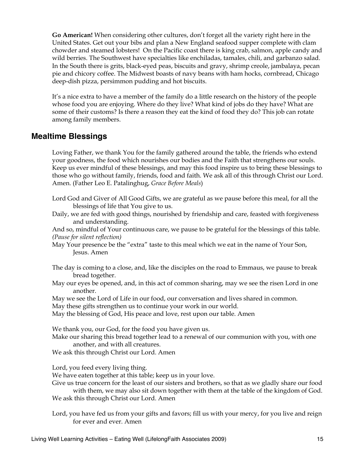**Go American!** When considering other cultures, don't forget all the variety right here in the United States. Get out your bibs and plan a New England seafood supper complete with clam chowder and steamed lobsters! On the Pacific coast there is king crab, salmon, apple candy and wild berries. The Southwest have specialties like enchiladas, tamales, chili, and garbanzo salad. In the South there is grits, black-eyed peas, biscuits and gravy, shrimp creole, jambalaya, pecan pie and chicory coffee. The Midwest boasts of navy beans with ham hocks, cornbread, Chicago deep-dish pizza, persimmon pudding and hot biscuits.

It's a nice extra to have a member of the family do a little research on the history of the people whose food you are enjoying. Where do they live? What kind of jobs do they have? What are some of their customs? Is there a reason they eat the kind of food they do? This job can rotate among family members.

# **Mealtime Blessings**

Loving Father, we thank You for the family gathered around the table, the friends who extend your goodness, the food which nourishes our bodies and the Faith that strengthens our souls. Keep us ever mindful of these blessings, and may this food inspire us to bring these blessings to those who go without family, friends, food and faith. We ask all of this through Christ our Lord. Amen. (Father Leo E. Patalinghug, *Grace Before Meals*)

- Lord God and Giver of All Good Gifts, we are grateful as we pause before this meal, for all the blessings of life that You give to us.
- Daily, we are fed with good things, nourished by friendship and care, feasted with forgiveness and understanding.

And so, mindful of Your continuous care, we pause to be grateful for the blessings of this table. *(Pause for silent reflection)*

- May Your presence be the "extra" taste to this meal which we eat in the name of Your Son, Jesus. Amen
- The day is coming to a close, and, like the disciples on the road to Emmaus, we pause to break bread together.
- May our eyes be opened, and, in this act of common sharing, may we see the risen Lord in one another.
- May we see the Lord of Life in our food, our conversation and lives shared in common.

May these gifts strengthen us to continue your work in our world.

May the blessing of God, His peace and love, rest upon our table. Amen

We thank you, our God, for the food you have given us.

Make our sharing this bread together lead to a renewal of our communion with you, with one another, and with all creatures.

We ask this through Christ our Lord. Amen

Lord, you feed every living thing.

We have eaten together at this table; keep us in your love.

Give us true concern for the least of our sisters and brothers, so that as we gladly share our food with them, we may also sit down together with them at the table of the kingdom of God.

We ask this through Christ our Lord. Amen

Lord, you have fed us from your gifts and favors; fill us with your mercy, for you live and reign for ever and ever. Amen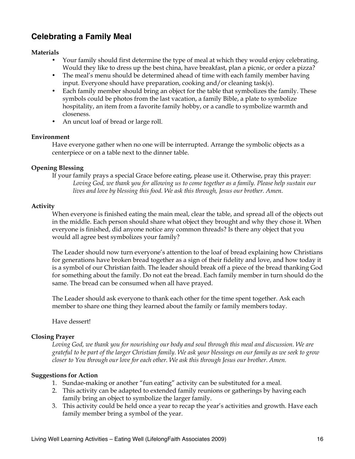# **Celebrating a Family Meal**

#### **Materials**

- Your family should first determine the type of meal at which they would enjoy celebrating. Would they like to dress up the best china, have breakfast, plan a picnic, or order a pizza?
- The meal's menu should be determined ahead of time with each family member having input. Everyone should have preparation, cooking and/or cleaning task(s).
- Each family member should bring an object for the table that symbolizes the family. These symbols could be photos from the last vacation, a family Bible, a plate to symbolize hospitality, an item from a favorite family hobby, or a candle to symbolize warmth and closeness.
- An uncut loaf of bread or large roll.

#### **Environment**

Have everyone gather when no one will be interrupted. Arrange the symbolic objects as a centerpiece or on a table next to the dinner table.

#### **Opening Blessing**

If your family prays a special Grace before eating, please use it. Otherwise, pray this prayer: *Loving God, we thank you for allowing us to come together as a family. Please help sustain our lives and love by blessing this food. We ask this through, Jesus our brother. Amen.*

#### **Activity**

When everyone is finished eating the main meal, clear the table, and spread all of the objects out in the middle. Each person should share what object they brought and why they chose it. When everyone is finished, did anyone notice any common threads? Is there any object that you would all agree best symbolizes your family?

The Leader should now turn everyone's attention to the loaf of bread explaining how Christians for generations have broken bread together as a sign of their fidelity and love, and how today it is a symbol of our Christian faith. The leader should break off a piece of the bread thanking God for something about the family. Do not eat the bread. Each family member in turn should do the same. The bread can be consumed when all have prayed.

The Leader should ask everyone to thank each other for the time spent together. Ask each member to share one thing they learned about the family or family members today.

Have dessert!

#### **Closing Prayer**

*Loving God, we thank you for nourishing our body and soul through this meal and discussion. We are grateful to be part of the larger Christian family. We ask your blessings on our family as we seek to grow closer to You through our love for each other. We ask this through Jesus our brother. Amen.*

#### **Suggestions for Action**

- 1. Sundae-making or another "fun eating" activity can be substituted for a meal.
- 2. This activity can be adapted to extended family reunions or gatherings by having each family bring an object to symbolize the larger family.
- 3. This activity could be held once a year to recap the year's activities and growth. Have each family member bring a symbol of the year.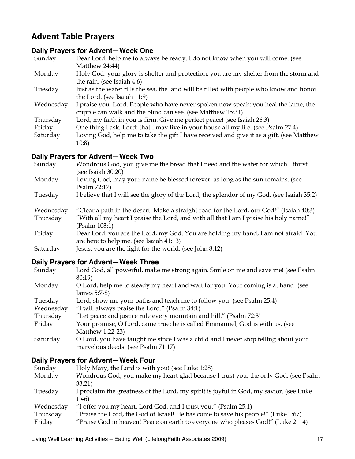# **Advent Table Prayers**

# **Daily Prayers for Advent—Week One**

| Sunday    | Dear Lord, help me to always be ready. I do not know when you will come. (see            |
|-----------|------------------------------------------------------------------------------------------|
|           | Matthew 24:44)                                                                           |
| Monday    | Holy God, your glory is shelter and protection, you are my shelter from the storm and    |
|           | the rain. (see Isaiah 4:6)                                                               |
| Tuesday   | Just as the water fills the sea, the land will be filled with people who know and honor  |
|           | the Lord. (see Isaiah 11:9)                                                              |
| Wednesday | I praise you, Lord. People who have never spoken now speak; you heal the lame, the       |
|           | cripple can walk and the blind can see. (see Matthew 15:31)                              |
| Thursday  | Lord, my faith in you is firm. Give me perfect peace! (see Isaiah 26:3)                  |
| Friday    | One thing I ask, Lord: that I may live in your house all my life. (see Psalm 27:4)       |
| Saturday  | Loving God, help me to take the gift I have received and give it as a gift. (see Matthew |
|           | 10:8                                                                                     |

### **Daily Prayers for Advent—Week Two**

| Sunday                | Wondrous God, you give me the bread that I need and the water for which I thirst.<br>(see Isaiah 30:20)                                                                                           |
|-----------------------|---------------------------------------------------------------------------------------------------------------------------------------------------------------------------------------------------|
| Monday                | Loving God, may your name be blessed forever, as long as the sun remains. (see<br>Psalm 72:17)                                                                                                    |
| Tuesday               | I believe that I will see the glory of the Lord, the splendor of my God. (see Isaiah 35:2)                                                                                                        |
| Wednesday<br>Thursday | "Clear a path in the desert! Make a straight road for the Lord, our God!" (Isaiah 40:3)<br>"With all my heart I praise the Lord, and with all that I am I praise his holy name!"<br>(Psalm 103:1) |
| Friday                | Dear Lord, you are the Lord, my God. You are holding my hand, I am not afraid. You<br>are here to help me. (see Isaiah 41:13)                                                                     |
| Saturday              | Jesus, you are the light for the world. (see John 8:12)                                                                                                                                           |

# **Daily Prayers for Advent—Week Three**

| Sunday    | Lord God, all powerful, make me strong again. Smile on me and save me! (see Psalm  |
|-----------|------------------------------------------------------------------------------------|
|           | 80:19                                                                              |
| Monday    | O Lord, help me to steady my heart and wait for you. Your coming is at hand. (see  |
|           | James 5:7-8)                                                                       |
| Tuesday   | Lord, show me your paths and teach me to follow you. (see Psalm 25:4)              |
| Wednesday | "I will always praise the Lord." (Psalm 34:1)                                      |
| Thursday  | "Let peace and justice rule every mountain and hill." (Psalm 72:3)                 |
| Friday    | Your promise, O Lord, came true; he is called Emmanuel, God is with us. (see       |
|           | Matthew 1:22-23)                                                                   |
| Saturday  | O Lord, you have taught me since I was a child and I never stop telling about your |
|           | marvelous deeds. (see Psalm 71:17)                                                 |
|           |                                                                                    |

# **Daily Prayers for Advent—Week Four**

| Sunday    | Holy Mary, the Lord is with you! (see Luke 1:28)                                       |
|-----------|----------------------------------------------------------------------------------------|
| Monday    | Wondrous God, you make my heart glad because I trust you, the only God. (see Psalm     |
|           | 33:21)                                                                                 |
| Tuesday   | I proclaim the greatness of the Lord, my spirit is joyful in God, my savior. (see Luke |
|           | 1:46                                                                                   |
| Wednesday | "I offer you my heart, Lord God, and I trust you." (Psalm 25:1)                        |
| Thursday  | "Praise the Lord, the God of Israel! He has come to save his people!" (Luke 1:67)      |
| Friday    | "Praise God in heaven! Peace on earth to everyone who pleases God!" (Luke 2: 14)       |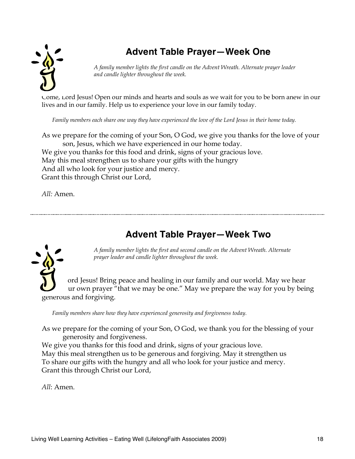

# **Advent Table Prayer—Week One**

*A family member lights the first candle on the Advent Wreath. Alternate prayer leader and candle lighter throughout the week.*

Come, Lord Jesus! Open our minds and hearts and souls as we wait for you to be born anew in our lives and in our family. Help us to experience your love in our family today.

*Family members each share one way they have experienced the love of the Lord Jesus in their home today.*

As we prepare for the coming of your Son, O God, we give you thanks for the love of your son, Jesus, which we have experienced in our home today. We give you thanks for this food and drink, signs of your gracious love. May this meal strengthen us to share your gifts with the hungry And all who look for your justice and mercy. Grant this through Christ our Lord,

*All:* Amen.

# **Advent Table Prayer—Week Two**



*A family member lights the first and second candle on the Advent Wreath. Alternate prayer leader and candle lighter throughout the week.*

ord Jesus! Bring peace and healing in our family and our world. May we hear again your own prayer "that we may be one." May we prepare the way for you by being generous and forgiving.

*Family members share how they have experienced generosity and forgiveness today.*

As we prepare for the coming of your Son, O God, we thank you for the blessing of your generosity and forgiveness.

We give you thanks for this food and drink, signs of your gracious love. May this meal strengthen us to be generous and forgiving. May it strengthen us To share our gifts with the hungry and all who look for your justice and mercy. Grant this through Christ our Lord,

*All*: Amen.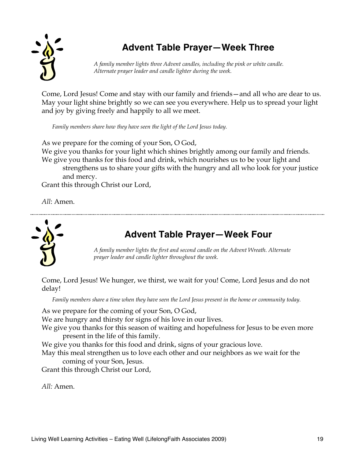

# **Advent Table Prayer—Week Three**

*A family member lights three Advent candles, including the pink or white candle. Alternate prayer leader and candle lighter during the week.*

Come, Lord Jesus! Come and stay with our family and friends—and all who are dear to us. May your light shine brightly so we can see you everywhere. Help us to spread your light and joy by giving freely and happily to all we meet.

*Family members share how they have seen the light of the Lord Jesus today.*

As we prepare for the coming of your Son, O God,

We give you thanks for your light which shines brightly among our family and friends. We give you thanks for this food and drink, which nourishes us to be your light and strengthens us to share your gifts with the hungry and all who look for your justice

and mercy.

Grant this through Christ our Lord,

*All*: Amen.



# **Advent Table Prayer—Week Four**

*A family member lights the first and second candle on the Advent Wreath. Alternate prayer leader and candle lighter throughout the week.*

Come, Lord Jesus! We hunger, we thirst, we wait for you! Come, Lord Jesus and do not delay!

*Family members share a time when they have seen the Lord Jesus present in the home or community today.*

As we prepare for the coming of your Son, O God,

We are hungry and thirsty for signs of his love in our lives.

We give you thanks for this season of waiting and hopefulness for Jesus to be even more present in the life of this family.

We give you thanks for this food and drink, signs of your gracious love.

May this meal strengthen us to love each other and our neighbors as we wait for the coming of your Son, Jesus.

Grant this through Christ our Lord,

*All:* Amen.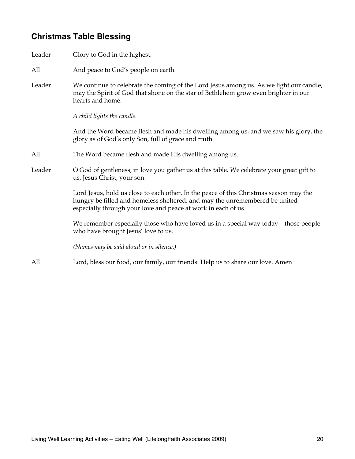# **Christmas Table Blessing**

| Leader | Glory to God in the highest.                                                                                                                                                                                                           |
|--------|----------------------------------------------------------------------------------------------------------------------------------------------------------------------------------------------------------------------------------------|
| All    | And peace to God's people on earth.                                                                                                                                                                                                    |
| Leader | We continue to celebrate the coming of the Lord Jesus among us. As we light our candle,<br>may the Spirit of God that shone on the star of Bethlehem grow even brighter in our<br>hearts and home.                                     |
|        | A child lights the candle.                                                                                                                                                                                                             |
|        | And the Word became flesh and made his dwelling among us, and we saw his glory, the<br>glory as of God's only Son, full of grace and truth.                                                                                            |
| All    | The Word became flesh and made His dwelling among us.                                                                                                                                                                                  |
| Leader | O God of gentleness, in love you gather us at this table. We celebrate your great gift to<br>us, Jesus Christ, your son.                                                                                                               |
|        | Lord Jesus, hold us close to each other. In the peace of this Christmas season may the<br>hungry be filled and homeless sheltered, and may the unremembered be united<br>especially through your love and peace at work in each of us. |
|        | We remember especially those who have loved us in a special way today - those people<br>who have brought Jesus' love to us.                                                                                                            |
|        | (Names may be said aloud or in silence.)                                                                                                                                                                                               |
| All    | Lord, bless our food, our family, our friends. Help us to share our love. Amen                                                                                                                                                         |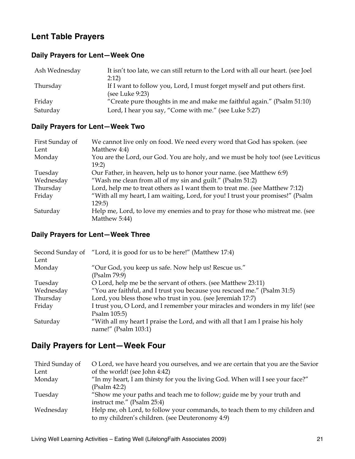# **Lent Table Prayers**

### **Daily Prayers for Lent—Week One**

| Ash Wednesday | It isn't too late, we can still return to the Lord with all our heart. (see Joel<br>2:12)    |
|---------------|----------------------------------------------------------------------------------------------|
| Thursday      | If I want to follow you, Lord, I must forget myself and put others first.<br>(see Luke 9:23) |
| Friday        | "Create pure thoughts in me and make me faithful again." (Psalm 51:10)                       |
| Saturday      | Lord, I hear you say, "Come with me." (see Luke 5:27)                                        |

### **Daily Prayers for Lent—Week Two**

| First Sunday of | We cannot live only on food. We need every word that God has spoken. (see                      |
|-----------------|------------------------------------------------------------------------------------------------|
| Lent            | Matthew 4:4)                                                                                   |
| Monday          | You are the Lord, our God. You are holy, and we must be holy too! (see Leviticus<br>19:2)      |
| Tuesday         | Our Father, in heaven, help us to honor your name. (see Matthew 6:9)                           |
| Wednesday       | "Wash me clean from all of my sin and guilt." (Psalm 51:2)                                     |
| Thursday        | Lord, help me to treat others as I want them to treat me. (see Matthew 7:12)                   |
| Friday          | "With all my heart, I am waiting, Lord, for you! I trust your promises!" (Psalm<br>129:5)      |
| Saturday        | Help me, Lord, to love my enemies and to pray for those who mistreat me. (see<br>Matthew 5:44) |

# **Daily Prayers for Lent—Week Three**

|           | Second Sunday of "Lord, it is good for us to be here!" (Matthew 17:4)          |
|-----------|--------------------------------------------------------------------------------|
| Lent      |                                                                                |
| Monday    | "Our God, you keep us safe. Now help us! Rescue us."                           |
|           | (Psalm 79:9)                                                                   |
| Tuesday   | O Lord, help me be the servant of others. (see Matthew 23:11)                  |
| Wednesday | "You are faithful, and I trust you because you rescued me." (Psalm 31:5)       |
| Thursday  | Lord, you bless those who trust in you. (see Jeremiah 17:7)                    |
| Friday    | I trust you, O Lord, and I remember your miracles and wonders in my life! (see |
|           | Psalm 105:5)                                                                   |
| Saturday  | "With all my heart I praise the Lord, and with all that I am I praise his holy |
|           | name!" (Psalm 103:1)                                                           |

# **Daily Prayers for Lent—Week Four**

| Third Sunday of | O Lord, we have heard you ourselves, and we are certain that you are the Savior |
|-----------------|---------------------------------------------------------------------------------|
| Lent            | of the world! (see John 4:42)                                                   |
| Monday          | "In my heart, I am thirsty for you the living God. When will I see your face?"  |
|                 | (Psalm 42:2)                                                                    |
| Tuesday         | "Show me your paths and teach me to follow; guide me by your truth and          |
|                 | instruct me." (Psalm 25:4)                                                      |
| Wednesday       | Help me, oh Lord, to follow your commands, to teach them to my children and     |
|                 | to my children's children. (see Deuteronomy 4:9)                                |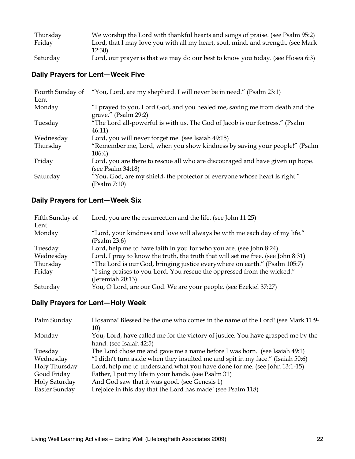| Thursday                        | We worship the Lord with thankful hearts and songs of praise. (see Psalm 95:2)                      |
|---------------------------------|-----------------------------------------------------------------------------------------------------|
| Friday                          | Lord, that I may love you with all my heart, soul, mind, and strength. (see Mark                    |
|                                 | 12:30)                                                                                              |
| $C2$ is a set of $\overline{C}$ | Load, and consequently that we green do any least to linear wear to day, (see Hoose $(\vartheta)$ ) |

# Saturday Lord, our prayer is that we may do our best to know you today. (see Hosea 6:3)

# **Daily Prayers for Lent—Week Five**

| Fourth Sunday of<br>Lent | "You, Lord, are my shepherd. I will never be in need." (Psalm 23:1)                                 |
|--------------------------|-----------------------------------------------------------------------------------------------------|
| Monday                   | "I prayed to you, Lord God, and you healed me, saving me from death and the<br>grave." (Psalm 29:2) |
| Tuesday                  | "The Lord all-powerful is with us. The God of Jacob is our fortress." (Psalm<br>46:11)              |
| Wednesday                | Lord, you will never forget me. (see Isaiah 49:15)                                                  |
| Thursday                 | "Remember me, Lord, when you show kindness by saving your people!" (Psalm<br>106:4)                 |
| Friday                   | Lord, you are there to rescue all who are discouraged and have given up hope.<br>(see Psalm 34:18)  |
| Saturday                 | "You, God, are my shield, the protector of everyone whose heart is right."<br>(Psalm 7:10)          |

## **Daily Prayers for Lent—Week Six**

| Fifth Sunday of | Lord, you are the resurrection and the life. (see John 11:25)                    |
|-----------------|----------------------------------------------------------------------------------|
| Lent            |                                                                                  |
| Monday          | "Lord, your kindness and love will always be with me each day of my life."       |
|                 | (Psalm 23:6)                                                                     |
| Tuesday         | Lord, help me to have faith in you for who you are. (see John 8:24)              |
| Wednesday       | Lord, I pray to know the truth, the truth that will set me free. (see John 8:31) |
| Thursday        | "The Lord is our God, bringing justice everywhere on earth." (Psalm 105:7)       |
| Friday          | "I sing praises to you Lord. You rescue the oppressed from the wicked."          |
|                 | (Jeremiah 20:13)                                                                 |
| Saturday        | You, O Lord, are our God. We are your people. (see Ezekiel 37:27)                |

### **Daily Prayers for Lent—Holy Week**

| Hosanna! Blessed be the one who comes in the name of the Lord! (see Mark 11:9-<br>10)                       |
|-------------------------------------------------------------------------------------------------------------|
| You, Lord, have called me for the victory of justice. You have grasped me by the<br>hand. (see Isaiah 42:5) |
| The Lord chose me and gave me a name before I was born. (see Isaiah 49:1)                                   |
| "I didn't turn aside when they insulted me and spit in my face." (Isaiah 50:6)                              |
| Lord, help me to understand what you have done for me. (see John 13:1-15)                                   |
| Father, I put my life in your hands. (see Psalm 31)                                                         |
| And God saw that it was good. (see Genesis 1)                                                               |
| I rejoice in this day that the Lord has made! (see Psalm 118)                                               |
|                                                                                                             |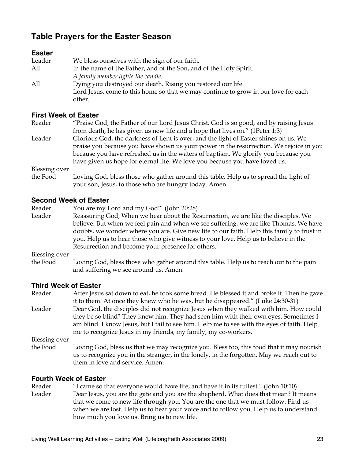# **Table Prayers for the Easter Season**

#### **Easter**

| Leader | We bless ourselves with the sign of our faith.                                     |
|--------|------------------------------------------------------------------------------------|
| All    | In the name of the Father, and of the Son, and of the Holy Spirit.                 |
|        | A family member lights the candle.                                                 |
| All    | Dying you destroyed our death. Rising you restored our life.                       |
|        | Lord Jesus, come to this home so that we may continue to grow in our love for each |
|        | other.                                                                             |

#### **First Week of Easter**

| Reader | "Praise God, the Father of our Lord Jesus Christ. God is so good, and by raising Jesus |
|--------|----------------------------------------------------------------------------------------|
|        | from death, he has given us new life and a hope that lives on." (1Peter 1:3)           |
| Leader | Glorious God, the darkness of Lent is over, and the light of Easter shines on us. We   |
|        | praise you because you have shown us your power in the resurrection. We rejoice in you |
|        | because you have refreshed us in the waters of baptism. We glorify you because you     |
|        | have given us hope for eternal life. We love you because you have loved us.            |

Blessing over

the Food Loving God, bless those who gather around this table. Help us to spread the light of your son, Jesus, to those who are hungry today. Amen.

#### **Second Week of Easter**

Reader You are my Lord and my God!" (John 20:28)

Leader Reassuring God, When we hear about the Resurrection, we are like the disciples. We believe. But when we feel pain and when we see suffering, we are like Thomas. We have doubts, we wonder where you are. Give new life to our faith. Help this family to trust in you. Help us to hear those who give witness to your love. Help us to believe in the Resurrection and become your presence for others.

Blessing over

the Food Loving God, bless those who gather around this table. Help us to reach out to the pain and suffering we see around us. Amen.

#### **Third Week of Easter**

Reader After Jesus sat down to eat, he took some bread. He blessed it and broke it. Then he gave it to them. At once they knew who he was, but he disappeared." (Luke 24:30-31) Leader Dear God, the disciples did not recognize Jesus when they walked with him. How could they be so blind? They knew him. They had seen him with their own eyes. Sometimes I am blind. I know Jesus, but I fail to see him. Help me to see with the eyes of faith. Help me to recognize Jesus in my friends, my family, my co-workers. Blessing over

the Food Loving God, bless us that we may recognize you. Bless too, this food that it may nourish us to recognize you in the stranger, in the lonely, in the forgotten. May we reach out to them in love and service. Amen.

#### **Fourth Week of Easter**

Reader "I came so that everyone would have life, and have it in its fullest." (John 10:10) Leader Dear Jesus, you are the gate and you are the shepherd. What does that mean? It means that we come to new life through you. You are the one that we must follow. Find us when we are lost. Help us to hear your voice and to follow you. Help us to understand how much you love us. Bring us to new life.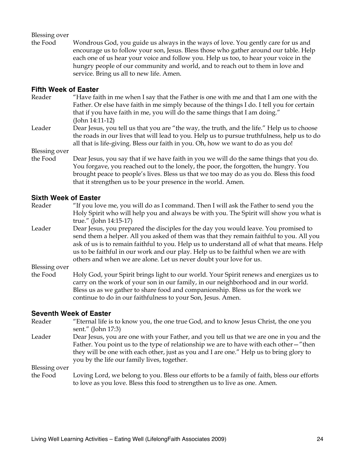#### Blessing over

the Food Wondrous God, you guide us always in the ways of love. You gently care for us and encourage us to follow your son, Jesus. Bless those who gather around our table. Help each one of us hear your voice and follow you. Help us too, to hear your voice in the hungry people of our community and world, and to reach out to them in love and service. Bring us all to new life. Amen.

#### **Fifth Week of Easter**

Reader "Have faith in me when I say that the Father is one with me and that I am one with the Father. Or else have faith in me simply because of the things I do. I tell you for certain that if you have faith in me, you will do the same things that I am doing." (John 14:11-12) Leader Dear Jesus, you tell us that you are "the way, the truth, and the life." Help us to choose the roads in our lives that will lead to you. Help us to pursue truthfulness, help us to do

Blessing over

the Food Dear Jesus, you say that if we have faith in you we will do the same things that you do. You forgave, you reached out to the lonely, the poor, the forgotten, the hungry. You brought peace to people's lives. Bless us that we too may do as you do. Bless this food that it strengthen us to be your presence in the world. Amen.

all that is life-giving. Bless our faith in you. Oh, how we want to do as you do!

#### **Sixth Week of Easter**

- Reader "If you love me, you will do as I command. Then I will ask the Father to send you the Holy Spirit who will help you and always be with you. The Spirit will show you what is true." (John 14:15-17)
- Leader Dear Jesus, you prepared the disciples for the day you would leave. You promised to send them a helper. All you asked of them was that they remain faithful to you. All you ask of us is to remain faithful to you. Help us to understand all of what that means. Help us to be faithful in our work and our play. Help us to be faithful when we are with others and when we are alone. Let us never doubt your love for us.

Blessing over

the Food Holy God, your Spirit brings light to our world. Your Spirit renews and energizes us to carry on the work of your son in our family, in our neighborhood and in our world. Bless us as we gather to share food and companionship. Bless us for the work we continue to do in our faithfulness to your Son, Jesus. Amen.

#### **Seventh Week of Easter**

Reader "Eternal life is to know you, the one true God, and to know Jesus Christ, the one you sent." (John 17:3) Leader Dear Jesus, you are one with your Father, and you tell us that we are one in you and the Father. You point us to the type of relationship we are to have with each other—"then they will be one with each other, just as you and I are one." Help us to bring glory to you by the life our family lives, together.

Blessing over

the Food Loving Lord, we belong to you. Bless our efforts to be a family of faith, bless our efforts to love as you love. Bless this food to strengthen us to live as one. Amen.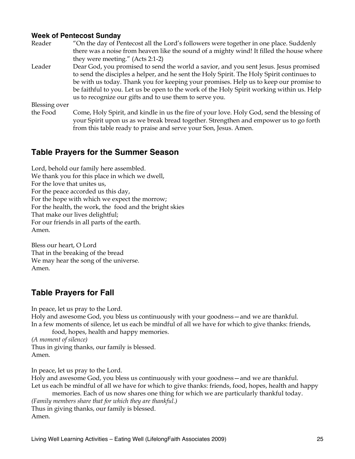#### **Week of Pentecost Sunday**

| Reader        | "On the day of Pentecost all the Lord's followers were together in one place. Suddenly    |
|---------------|-------------------------------------------------------------------------------------------|
|               | there was a noise from heaven like the sound of a mighty wind! It filled the house where  |
|               | they were meeting." (Acts 2:1-2)                                                          |
| Leader        | Dear God, you promised to send the world a savior, and you sent Jesus. Jesus promised     |
|               | to send the disciples a helper, and he sent the Holy Spirit. The Holy Spirit continues to |
|               | be with us today. Thank you for keeping your promises. Help us to keep our promise to     |
|               | be faithful to you. Let us be open to the work of the Holy Spirit working within us. Help |
|               | us to recognize our gifts and to use them to serve you.                                   |
| Blessing over |                                                                                           |
| the Food      | Come, Holy Spirit, and kindle in us the fire of your love. Holy God, send the blessing of |
|               | your Spirit upon us as we break bread together. Strengthen and empower us to go forth     |

from this table ready to praise and serve your Son, Jesus. Amen.

# **Table Prayers for the Summer Season**

Lord, behold our family here assembled. We thank you for this place in which we dwell, For the love that unites us, For the peace accorded us this day, For the hope with which we expect the morrow; For the health, the work, the food and the bright skies That make our lives delightful; For our friends in all parts of the earth. Amen.

Bless our heart, O Lord That in the breaking of the bread We may hear the song of the universe. Amen.

# **Table Prayers for Fall**

In peace, let us pray to the Lord.

Holy and awesome God, you bless us continuously with your goodness—and we are thankful. In a few moments of silence, let us each be mindful of all we have for which to give thanks: friends,

food, hopes, health and happy memories.

*(A moment of silence)* Thus in giving thanks, our family is blessed. Amen.

In peace, let us pray to the Lord.

Holy and awesome God, you bless us continuously with your goodness—and we are thankful. Let us each be mindful of all we have for which to give thanks: friends, food, hopes, health and happy memories. Each of us now shares one thing for which we are particularly thankful today. *(Family members share that for which they are thankful.)* Thus in giving thanks, our family is blessed. Amen.